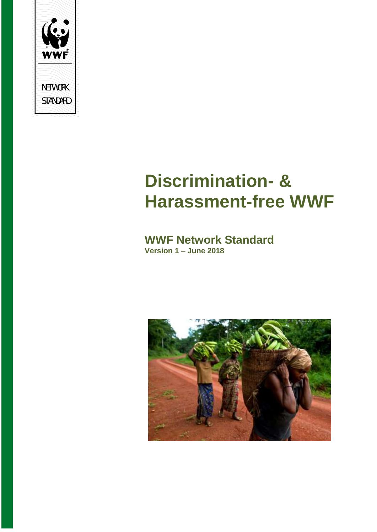

# **Discrimination- & Harassment-free WWF**

## **WWF Network Standard Version 1 – June 2018**

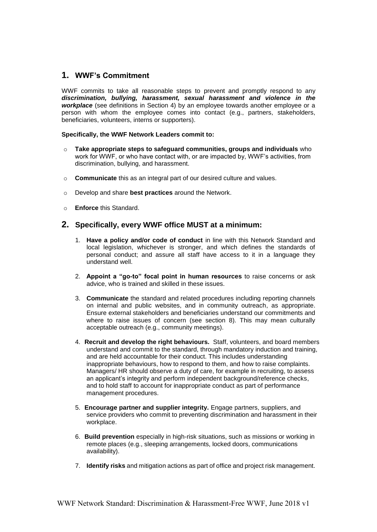#### **1. WWF's Commitment**

WWF commits to take all reasonable steps to prevent and promptly respond to any *discrimination, bullying, harassment, sexual harassment and violence in the workplace* (see definitions in Section 4) by an employee towards another employee or a person with whom the employee comes into contact (e.g., partners, stakeholders, beneficiaries, volunteers, interns or supporters).

#### **Specifically, the WWF Network Leaders commit to:**

- o **Take appropriate steps to safeguard communities, groups and individuals** who work for WWF, or who have contact with, or are impacted by, WWF's activities, from discrimination, bullying, and harassment.
- o **Communicate** this as an integral part of our desired culture and values.
- o Develop and share **best practices** around the Network.
- o **Enforce** this Standard.

#### **2. Specifically, every WWF office MUST at a minimum:**

- 1. **Have a policy and/or code of conduct** in line with this Network Standard and local legislation, whichever is stronger, and which defines the standards of personal conduct; and assure all staff have access to it in a language they understand well.
- 2. **Appoint a "go-to" focal point in human resources** to raise concerns or ask advice, who is trained and skilled in these issues.
- 3. **Communicate** the standard and related procedures including reporting channels on internal and public websites, and in community outreach, as appropriate. Ensure external stakeholders and beneficiaries understand our commitments and where to raise issues of concern (see section 8). This may mean culturally acceptable outreach (e.g., community meetings).
- 4. **Recruit and develop the right behaviours.** Staff, volunteers, and board members understand and commit to the standard, through mandatory induction and training, and are held accountable for their conduct. This includes understanding inappropriate behaviours, how to respond to them, and how to raise complaints. Managers/ HR should observe a duty of care, for example in recruiting, to assess an applicant's integrity and perform independent background/reference checks, and to hold staff to account for inappropriate conduct as part of performance management procedures.
- 5. **Encourage partner and supplier integrity.** Engage partners, suppliers, and service providers who commit to preventing discrimination and harassment in their workplace.
- 6. **Build prevention** especially in high-risk situations, such as missions or working in remote places (e.g., sleeping arrangements, locked doors, communications availability).
- 7. **Identify risks** and mitigation actions as part of office and project risk management.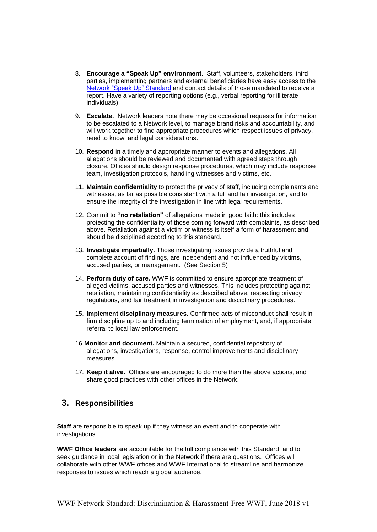- 8. **Encourage a "Speak Up" environment**. Staff, volunteers, stakeholders, third parties, implementing partners and external beneficiaries have easy access to the Network "Speak Up" Standard and contact details of those mandated to receive a report. Have a variety of reporting options (e.g., verbal reporting for illiterate individuals).
- 9. **Escalate.** Network leaders note there may be occasional requests for information to be escalated to a Network level, to manage brand risks and accountability, and will work together to find appropriate procedures which respect issues of privacy, need to know, and legal considerations.
- 10. **Respond** in a timely and appropriate manner to events and allegations. All allegations should be reviewed and documented with agreed steps through closure. Offices should design response procedures, which may include response team, investigation protocols, handling witnesses and victims, etc.
- 11. **Maintain confidentiality** to protect the privacy of staff, including complainants and witnesses, as far as possible consistent with a full and fair investigation, and to ensure the integrity of the investigation in line with legal requirements.
- 12. Commit to **"no retaliation"** of allegations made in good faith: this includes protecting the confidentiality of those coming forward with complaints, as described above. Retaliation against a victim or witness is itself a form of harassment and should be disciplined according to this standard.
- 13. **Investigate impartially.** Those investigating issues provide a truthful and complete account of findings, are independent and not influenced by victims, accused parties, or management. (See Section 5)
- 14. **Perform duty of care.** WWF is committed to ensure appropriate treatment of alleged victims, accused parties and witnesses. This includes protecting against retaliation, maintaining confidentiality as described above, respecting privacy regulations, and fair treatment in investigation and disciplinary procedures.
- 15. **Implement disciplinary measures.** Confirmed acts of misconduct shall result in firm discipline up to and including termination of employment, and, if appropriate, referral to local law enforcement.
- 16.**Monitor and document.** Maintain a secured, confidential repository of allegations, investigations, response, control improvements and disciplinary measures.
- 17. **Keep it alive.** Offices are encouraged to do more than the above actions, and share good practices with other offices in the Network.

#### **3. Responsibilities**

**Staff** are responsible to speak up if they witness an event and to cooperate with investigations.

**WWF Office leaders** are accountable for the full compliance with this Standard, and to seek guidance in local legislation or in the Network if there are questions. Offices will collaborate with other WWF offices and WWF International to streamline and harmonize responses to issues which reach a global audience.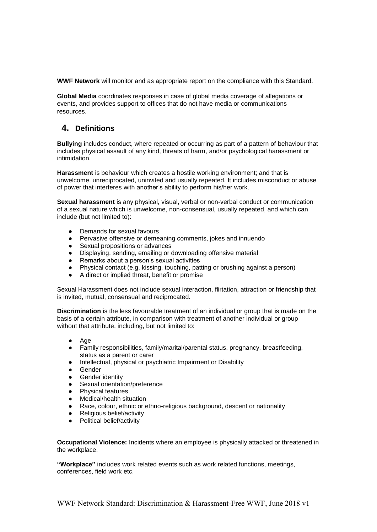**WWF Network** will monitor and as appropriate report on the compliance with this Standard.

**Global Media** coordinates responses in case of global media coverage of allegations or events, and provides support to offices that do not have media or communications resources.

## **4. Definitions**

**Bullying** includes conduct, where repeated or occurring as part of a pattern of behaviour that includes physical assault of any kind, threats of harm, and/or psychological harassment or intimidation.

**Harassment** is behaviour which creates a hostile working environment; and that is unwelcome, unreciprocated, uninvited and usually repeated. It includes misconduct or abuse of power that interferes with another's ability to perform his/her work.

**Sexual harassment** is any physical, visual, verbal or non-verbal conduct or communication of a sexual nature which is unwelcome, non-consensual, usually repeated, and which can include (but not limited to):

- Demands for sexual favours
- Pervasive offensive or demeaning comments, jokes and innuendo
- Sexual propositions or advances
- Displaying, sending, emailing or downloading offensive material
- Remarks about a person's sexual activities
- Physical contact (e.g. kissing, touching, patting or brushing against a person)
- A direct or implied threat, benefit or promise

Sexual Harassment does not include sexual interaction, flirtation, attraction or friendship that is invited, mutual, consensual and reciprocated.

**Discrimination** is the less favourable treatment of an individual or group that is made on the basis of a certain attribute, in comparison with treatment of another individual or group without that attribute, including, but not limited to:

- Age
- Family responsibilities, family/marital/parental status, pregnancy, breastfeeding, status as a parent or carer
- Intellectual, physical or psychiatric Impairment or Disability
- Gender
- **•** Gender identity
- Sexual orientation/preference
- Physical features
- Medical/health situation
- Race, colour, ethnic or ethno-religious background, descent or nationality
- Religious belief/activity
- Political belief/activity

**Occupational Violence:** Incidents where an employee is physically attacked or threatened in the workplace.

**"Workplace"** includes work related events such as work related functions, meetings, conferences, field work etc.